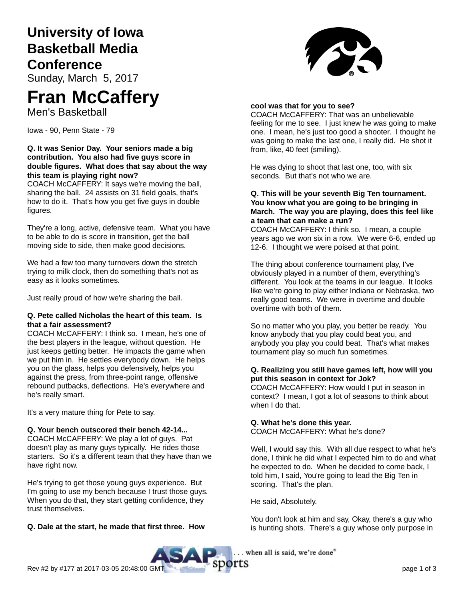# **University of Iowa Basketball Media Conference**

Sunday, March 5, 2017

# **Fran McCaffery**

Men's Basketball

Iowa - 90, Penn State - 79

### **Q. It was Senior Day. Your seniors made a big contribution. You also had five guys score in double figures. What does that say about the way this team is playing right now?**

COACH McCAFFERY: It says we're moving the ball, sharing the ball. 24 assists on 31 field goals, that's how to do it. That's how you get five guys in double figures.

They're a long, active, defensive team. What you have to be able to do is score in transition, get the ball moving side to side, then make good decisions.

We had a few too many turnovers down the stretch trying to milk clock, then do something that's not as easy as it looks sometimes.

Just really proud of how we're sharing the ball.

#### **Q. Pete called Nicholas the heart of this team. Is that a fair assessment?**

COACH McCAFFERY: I think so. I mean, he's one of the best players in the league, without question. He just keeps getting better. He impacts the game when we put him in. He settles everybody down. He helps you on the glass, helps you defensively, helps you against the press, from three-point range, offensive rebound putbacks, deflections. He's everywhere and he's really smart.

It's a very mature thing for Pete to say.

#### **Q. Your bench outscored their bench 42-14...**

COACH McCAFFERY: We play a lot of guys. Pat doesn't play as many guys typically. He rides those starters. So it's a different team that they have than we have right now.

He's trying to get those young guys experience. But I'm going to use my bench because I trust those guys. When you do that, they start getting confidence, they trust themselves.

# **Q. Dale at the start, he made that first three. How**



#### **cool was that for you to see?**

COACH McCAFFERY: That was an unbelievable feeling for me to see. I just knew he was going to make one. I mean, he's just too good a shooter. I thought he was going to make the last one, I really did. He shot it from, like, 40 feet (smiling).

He was dying to shoot that last one, too, with six seconds. But that's not who we are.

#### **Q. This will be your seventh Big Ten tournament. You know what you are going to be bringing in March. The way you are playing, does this feel like a team that can make a run?**

COACH McCAFFERY: I think so. I mean, a couple years ago we won six in a row. We were 6-6, ended up 12-6. I thought we were poised at that point.

The thing about conference tournament play, I've obviously played in a number of them, everything's different. You look at the teams in our league. It looks like we're going to play either Indiana or Nebraska, two really good teams. We were in overtime and double overtime with both of them.

So no matter who you play, you better be ready. You know anybody that you play could beat you, and anybody you play you could beat. That's what makes tournament play so much fun sometimes.

#### **Q. Realizing you still have games left, how will you put this season in context for Jok?**

COACH McCAFFERY: How would I put in season in context? I mean, I got a lot of seasons to think about when I do that.

# **Q. What he's done this year.**

COACH McCAFFERY: What he's done?

Well, I would say this. With all due respect to what he's done, I think he did what I expected him to do and what he expected to do. When he decided to come back, I told him, I said, You're going to lead the Big Ten in scoring. That's the plan.

He said, Absolutely.

You don't look at him and say, Okay, there's a guy who is hunting shots. There's a guy whose only purpose in

. when all is said, we're done"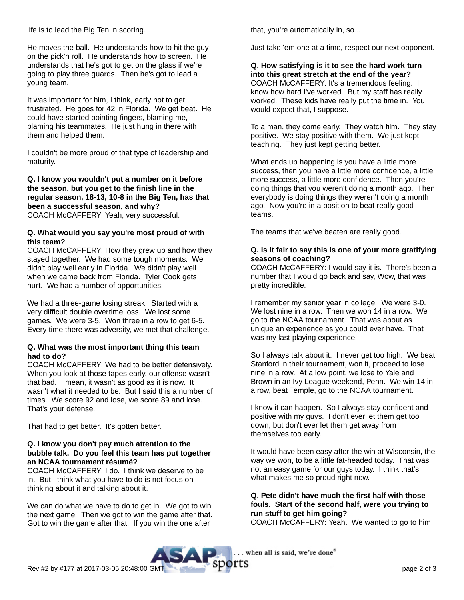life is to lead the Big Ten in scoring.

He moves the ball. He understands how to hit the guy on the pick'n roll. He understands how to screen. He understands that he's got to get on the glass if we're going to play three guards. Then he's got to lead a young team.

It was important for him, I think, early not to get frustrated. He goes for 42 in Florida. We get beat. He could have started pointing fingers, blaming me, blaming his teammates. He just hung in there with them and helped them.

I couldn't be more proud of that type of leadership and maturity.

#### **Q. I know you wouldn't put a number on it before the season, but you get to the finish line in the regular season, 18-13, 10-8 in the Big Ten, has that been a successful season, and why?** COACH McCAFFERY: Yeah, very successful.

#### **Q. What would you say you're most proud of with this team?**

COACH McCAFFERY: How they grew up and how they stayed together. We had some tough moments. We didn't play well early in Florida. We didn't play well when we came back from Florida. Tyler Cook gets hurt. We had a number of opportunities.

We had a three-game losing streak. Started with a very difficult double overtime loss. We lost some games. We were 3-5. Won three in a row to get 6-5. Every time there was adversity, we met that challenge.

#### **Q. What was the most important thing this team had to do?**

COACH McCAFFERY: We had to be better defensively. When you look at those tapes early, our offense wasn't that bad. I mean, it wasn't as good as it is now. It wasn't what it needed to be. But I said this a number of times. We score 92 and lose, we score 89 and lose. That's your defense.

That had to get better. It's gotten better.

#### **Q. I know you don't pay much attention to the bubble talk. Do you feel this team has put together an NCAA tournament résumé?**

COACH McCAFFERY: I do. I think we deserve to be in. But I think what you have to do is not focus on thinking about it and talking about it.

We can do what we have to do to get in. We got to win the next game. Then we got to win the game after that. Got to win the game after that. If you win the one after

that, you're automatically in, so...

Just take 'em one at a time, respect our next opponent.

**Q. How satisfying is it to see the hard work turn into this great stretch at the end of the year?** COACH McCAFFERY: It's a tremendous feeling. I know how hard I've worked. But my staff has really worked. These kids have really put the time in. You would expect that, I suppose.

To a man, they come early. They watch film. They stay positive. We stay positive with them. We just kept teaching. They just kept getting better.

What ends up happening is you have a little more success, then you have a little more confidence, a little more success, a little more confidence. Then you're doing things that you weren't doing a month ago. Then everybody is doing things they weren't doing a month ago. Now you're in a position to beat really good teams.

The teams that we've beaten are really good.

#### **Q. Is it fair to say this is one of your more gratifying seasons of coaching?**

COACH McCAFFERY: I would say it is. There's been a number that I would go back and say, Wow, that was pretty incredible.

I remember my senior year in college. We were 3-0. We lost nine in a row. Then we won 14 in a row. We go to the NCAA tournament. That was about as unique an experience as you could ever have. That was my last playing experience.

So I always talk about it. I never get too high. We beat Stanford in their tournament, won it, proceed to lose nine in a row. At a low point, we lose to Yale and Brown in an Ivy League weekend, Penn. We win 14 in a row, beat Temple, go to the NCAA tournament.

I know it can happen. So I always stay confident and positive with my guys. I don't ever let them get too down, but don't ever let them get away from themselves too early.

It would have been easy after the win at Wisconsin, the way we won, to be a little fat-headed today. That was not an easy game for our guys today. I think that's what makes me so proud right now.

# **Q. Pete didn't have much the first half with those fouls. Start of the second half, were you trying to run stuff to get him going?**

COACH McCAFFERY: Yeah. We wanted to go to him

. when all is said, we're done®